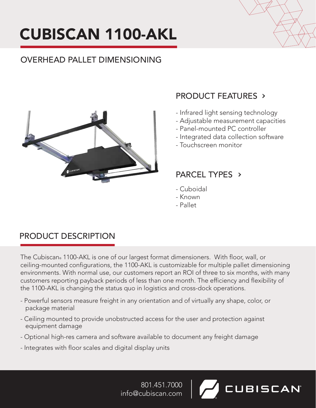# CUBISCAN 1100-AKL

# OVERHEAD PALLET DIMENSIONING



# PRODUCT FEATURES

- Infrared light sensing technology
- Adjustable measurement capacities
- Panel-mounted PC controller
- Integrated data collection software

**UBISCAN** 

- Touchscreen monitor

## PARCEL TYPES >

- Cuboidal
- Known
- Pallet

# PRODUCT DESCRIPTION

The Cubiscan® 1100-AKL is one of our largest format dimensioners. With floor, wall, or ceiling-mounted configurations, the 1100-AKL is customizable for multiple pallet dimensioning environments. With normal use, our customers report an ROI of three to six months, with many customers reporting payback periods of less than one month. The efficiency and flexibility of the 1100-AKL is changing the status quo in logistics and cross-dock operations.

- Powerful sensors measure freight in any orientation and of virtually any shape, color, or package material
- Ceiling mounted to provide unobstructed access for the user and protection against equipment damage
- Optional high-res camera and software available to document any freight damage
- Integrates with floor scales and digital display units

801.451.7000 info@cubiscan.com